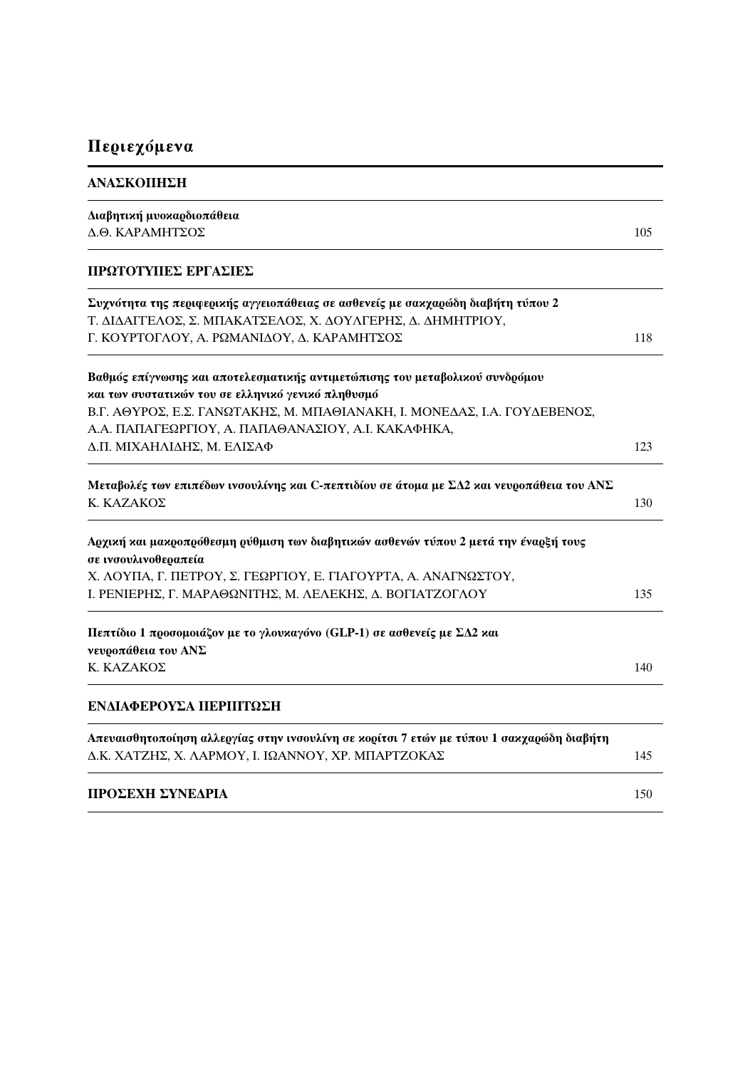## Περιεχόμενα

| ΑΝΑΣΚΟΠΗΣΗ |  |
|------------|--|
|------------|--|

| Διαβητική μυοκαρδιοπάθεια                                                                 |     |
|-------------------------------------------------------------------------------------------|-----|
| Δ.Θ. ΚΑΡΑΜΗΤΣΟΣ                                                                           | 105 |
| ΠΡΩΤΟΤΥΠΕΣ ΕΡΓΑΣΙΕΣ                                                                       |     |
| Συχνότητα της περιφερικής αγγειοπάθειας σε ασθενείς με σακχαρώδη διαβήτη τύπου 2          |     |
| Τ. ΔΙΔΑΓΓΕΛΟΣ, Σ. ΜΠΑΚΑΤΣΕΛΟΣ, Χ. ΔΟΥΛΓΕΡΗΣ, Δ. ΔΗΜΗΤΡΙΟΥ,                                |     |
| Γ. ΚΟΥΡΤΟΓΛΟΥ, Α. ΡΩΜΑΝΙΔΟΥ, Δ. ΚΑΡΑΜΗΤΣΟΣ                                                | 118 |
| Βαθμός επίγνωσης και αποτελεσματικής αντιμετώπισης του μεταβολικού συνδρόμου              |     |
| και των συστατικών του σε ελληνικό γενικό πληθυσμό                                        |     |
| Β.Γ. ΑΘΥΡΟΣ, Ε.Σ. ΓΑΝΩΤΑΚΗΣ, Μ. ΜΠΑΘΙΑΝΑΚΗ, Ι. ΜΟΝΕΔΑΣ, Ι.Α. ΓΟΥΔΕΒΕΝΟΣ,                  |     |
| Α.Α. ΠΑΠΑΓΕΩΡΓΙΟΥ, Α. ΠΑΠΑΘΑΝΑΣΙΟΥ, Α.Ι. ΚΑΚΑΦΗΚΑ,                                        |     |
| Δ.Π. ΜΙΧΑΗΛΙΔΗΣ, Μ. ΕΛΙΣΑΦ                                                                | 123 |
| Μεταβολές των επιπέδων ινσουλίνης και C-πεπτιδίου σε άτομα με ΣΔ2 και νευροπάθεια του ΑΝΣ |     |
| Κ. ΚΑΖΑΚΟΣ                                                                                | 130 |
| Αρχική και μακροπρόθεσμη ρύθμιση των διαβητικών ασθενών τύπου 2 μετά την έναρξή τους      |     |
| σε ινσουλινοθεραπεία                                                                      |     |
| Χ. ΛΟΥΠΑ, Γ. ΠΕΤΡΟΥ, Σ. ΓΕΩΡΓΙΟΥ, Ε. ΓΙΑΓΟΥΡΤΑ, Α. ΑΝΑΓΝΩΣΤΟΥ,                            | 135 |
| Ι. ΡΕΝΙΕΡΗΣ, Γ. ΜΑΡΑΘΩΝΙΤΗΣ, Μ. ΛΕΛΕΚΗΣ, Δ. ΒΟΓΙΑΤΖΟΓΛΟΥ                                  |     |
| Πεπτίδιο 1 προσομοιάζον με το γλουκαγόνο (GLP-1) σε ασθενείς με ΣΔ2 και                   |     |
| νευροπάθεια του ΑΝΣ                                                                       |     |
| Κ. ΚΑΖΑΚΟΣ                                                                                | 140 |
| ΕΝΔΙΑΦΕΡΟΥΣΑ ΠΕΡΙΠΤΩΣΗ                                                                    |     |
| Απευαισθητοποίηση αλλεργίας στην ινσουλίνη σε κορίτσι 7 ετών με τύπου 1 σακχαρώδη διαβήτη |     |
| Δ.Κ. ΧΑΤΖΗΣ, Χ. ΛΑΡΜΟΥ, Ι. ΙΩΑΝΝΟΥ, ΧΡ. ΜΠΑΡΤΖΟΚΑΣ                                        | 145 |
| ΠΡΟΣΕΧΗ ΣΥΝΕΔΡΙΑ                                                                          | 150 |
|                                                                                           |     |